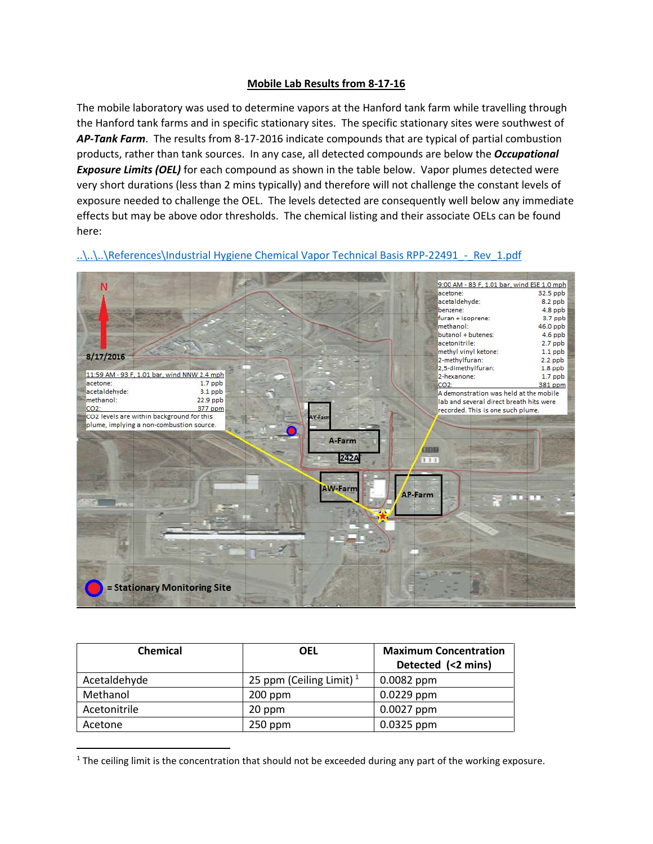## **Mobile Lab Results from 8-17-16**

The mobile laboratory was used to determine vapors at the Hanford tank farm while travelling through the Hanford tank farms and in specific stationary sites. The specific stationary sites were southwest of *AP-Tank Farm*. The results from 8-17-2016 indicate compounds that are typical of partial combustion products, rather than tank sources. In any case, all detected compounds are below the *Occupational Exposure Limits (OEL)* for each compound as shown in the table below. Vapor plumes detected were very short durations (less than 2 mins typically) and therefore will not challenge the constant levels of exposure needed to challenge the OEL. The levels detected are consequently well below any immediate effects but may be above odor thresholds. The chemical listing and their associate OELs can be found here:



..\..\..\References\Industrial Hygiene Chemical Vapor Technical Basis RPP-22491 - Rev\_1.pdf

<span id="page-0-1"></span>

| <b>Chemical</b> | <b>OEL</b>                          | <b>Maximum Concentration</b><br>Detected (<2 mins) |
|-----------------|-------------------------------------|----------------------------------------------------|
|                 |                                     |                                                    |
| Acetaldehyde    | 25 ppm (Ceiling Limit) <sup>1</sup> | $0.0082$ ppm                                       |
| Methanol        | $200$ ppm                           | $0.0229$ ppm                                       |
| Acetonitrile    | 20 ppm                              | $0.0027$ ppm                                       |
| Acetone         | 250 ppm                             | $0.0325$ ppm                                       |

<span id="page-0-0"></span> $1$  The ceiling limit is the concentration that should not be exceeded during any part of the working exposure.